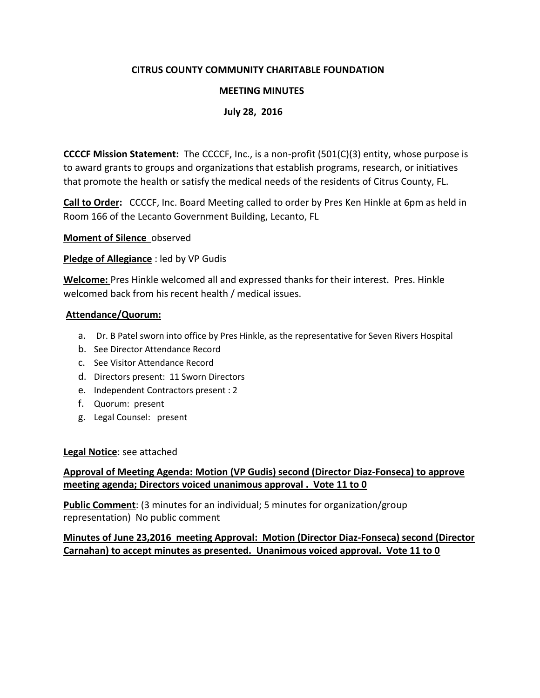## **CITRUS COUNTY COMMUNITY CHARITABLE FOUNDATION**

### **MEETING MINUTES**

### **July 28, 2016**

**CCCCF Mission Statement:** The CCCCF, Inc., is a non-profit (501(C)(3) entity, whose purpose is to award grants to groups and organizations that establish programs, research, or initiatives that promote the health or satisfy the medical needs of the residents of Citrus County, FL.

**Call to Order:** CCCCF, Inc. Board Meeting called to order by Pres Ken Hinkle at 6pm as held in Room 166 of the Lecanto Government Building, Lecanto, FL

**Moment of Silence** observed

### **Pledge of Allegiance** : led by VP Gudis

**Welcome:** Pres Hinkle welcomed all and expressed thanks for their interest. Pres. Hinkle welcomed back from his recent health / medical issues.

#### **Attendance/Quorum:**

- a. Dr. B Patel sworn into office by Pres Hinkle, as the representative for Seven Rivers Hospital
- b. See Director Attendance Record
- c. See Visitor Attendance Record
- d. Directors present: 11 Sworn Directors
- e. Independent Contractors present : 2
- f. Quorum: present
- g. Legal Counsel: present

#### **Legal Notice**: see attached

# **Approval of Meeting Agenda: Motion (VP Gudis) second (Director Diaz-Fonseca) to approve meeting agenda; Directors voiced unanimous approval . Vote 11 to 0**

**Public Comment**: (3 minutes for an individual; 5 minutes for organization/group representation) No public comment

### **Minutes of June 23,2016 meeting Approval: Motion (Director Diaz-Fonseca) second (Director Carnahan) to accept minutes as presented. Unanimous voiced approval. Vote 11 to 0**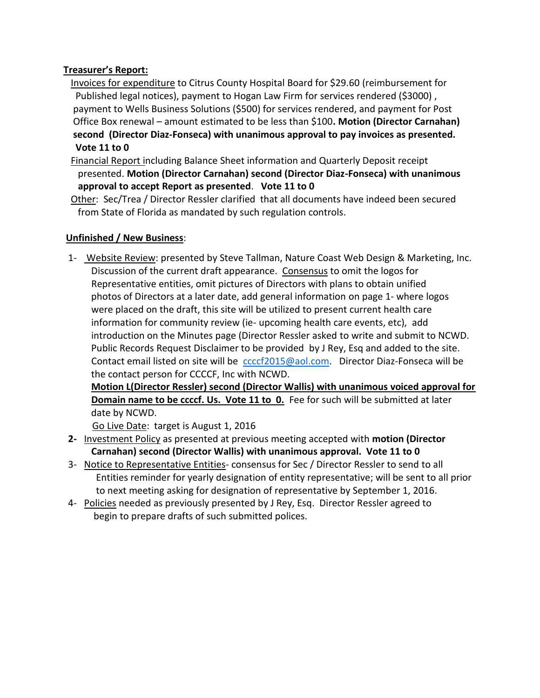# **Treasurer's Report:**

- Invoices for expenditure to Citrus County Hospital Board for \$29.60 (reimbursement for Published legal notices), payment to Hogan Law Firm for services rendered (\$3000) , payment to Wells Business Solutions (\$500) for services rendered, and payment for Post Office Box renewal – amount estimated to be less than \$100**. Motion (Director Carnahan) second (Director Diaz-Fonseca) with unanimous approval to pay invoices as presented. Vote 11 to 0**
- Financial Report including Balance Sheet information and Quarterly Deposit receipt presented. **Motion (Director Carnahan) second (Director Diaz-Fonseca) with unanimous approval to accept Report as presented**. **Vote 11 to 0**
- Other: Sec/Trea / Director Ressler clarified that all documents have indeed been secured from State of Florida as mandated by such regulation controls.

# **Unfinished / New Business**:

1- Website Review: presented by Steve Tallman, Nature Coast Web Design & Marketing, Inc. Discussion of the current draft appearance. Consensus to omit the logos for Representative entities, omit pictures of Directors with plans to obtain unified photos of Directors at a later date, add general information on page 1- where logos were placed on the draft, this site will be utilized to present current health care information for community review (ie- upcoming health care events, etc), add introduction on the Minutes page (Director Ressler asked to write and submit to NCWD. Public Records Request Disclaimer to be provided by J Rey, Esq and added to the site. Contact email listed on site will be corrections continual Director Diaz-Fonseca will be the contact person for CCCCF, Inc with NCWD.

 **Motion L(Director Ressler) second (Director Wallis) with unanimous voiced approval for Domain name to be ccccf. Us. Vote 11 to 0.** Fee for such will be submitted at later date by NCWD.

Go Live Date: target is August 1, 2016

- **2-** Investment Policy as presented at previous meeting accepted with **motion (Director Carnahan) second (Director Wallis) with unanimous approval. Vote 11 to 0**
- 3- Notice to Representative Entities-consensus for Sec / Director Ressler to send to all Entities reminder for yearly designation of entity representative; will be sent to all prior to next meeting asking for designation of representative by September 1, 2016.
- 4- Policies needed as previously presented by J Rey, Esq. Director Ressler agreed to begin to prepare drafts of such submitted polices.